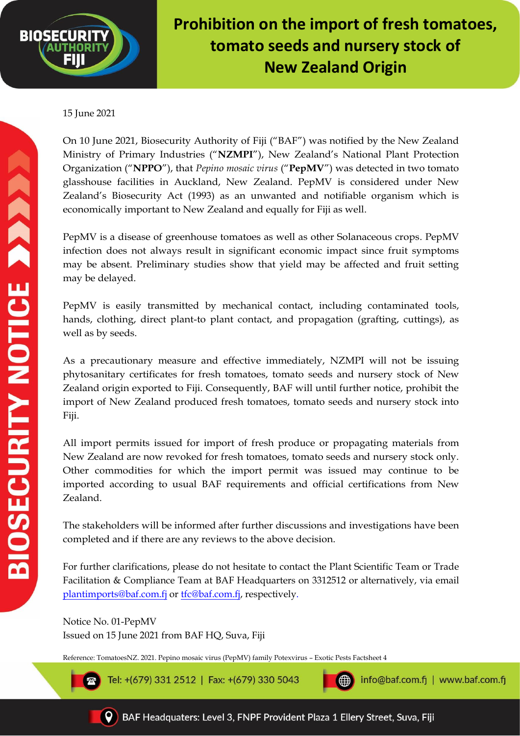

## **Prohibition on the import of fresh tomatoes, tomato seeds and nursery stock of New Zealand Origin**

## 15 June 2021

On 10 June 2021, Biosecurity Authority of Fiji ("BAF") was notified by the New Zealand Ministry of Primary Industries ("**NZMPI**"), New Zealand's National Plant Protection Organization ("**NPPO**"), that *Pepino mosaic virus* ("**PepMV**") was detected in two tomato glasshouse facilities in Auckland, New Zealand. PepMV is considered under New Zealand's Biosecurity Act (1993) as an unwanted and notifiable organism which is economically important to New Zealand and equally for Fiji as well.

PepMV is a disease of greenhouse tomatoes as well as other Solanaceous crops. PepMV infection does not always result in significant economic impact since fruit symptoms may be absent. Preliminary studies show that yield may be affected and fruit setting may be delayed.

PepMV is easily transmitted by mechanical contact, including contaminated tools, hands, clothing, direct plant-to plant contact, and propagation (grafting, cuttings), as well as by seeds.

As a precautionary measure and effective immediately, NZMPI will not be issuing phytosanitary certificates for fresh tomatoes, tomato seeds and nursery stock of New Zealand origin exported to Fiji. Consequently, BAF will until further notice, prohibit the import of New Zealand produced fresh tomatoes, tomato seeds and nursery stock into Fiji.

All import permits issued for import of fresh produce or propagating materials from New Zealand are now revoked for fresh tomatoes, tomato seeds and nursery stock only. Other commodities for which the import permit was issued may continue to be imported according to usual BAF requirements and official certifications from New Zealand.

The stakeholders will be informed after further discussions and investigations have been completed and if there are any reviews to the above decision.

For further clarifications, please do not hesitate to contact the Plant Scientific Team or Trade Facilitation & Compliance Team at BAF Headquarters on 3312512 or alternatively, via email [plantimports@baf.com.fj](mailto:plantimports@baf.com.fj) or [tfc@baf.com.fj,](mailto:tfc@baf.com.fj) respectively.

Notice No. 01-PepMV Issued on 15 June 2021 from BAF HQ, Suva, Fiji

Reference: TomatoesNZ. 2021. Pepino mosaic virus (PepMV) family Potexvirus – Exotic Pests Factsheet 4

Tel: +(679) 331 2512 | Fax: +(679) 330 5043

info@baf.com.fj | www.baf.com.fj



ങ